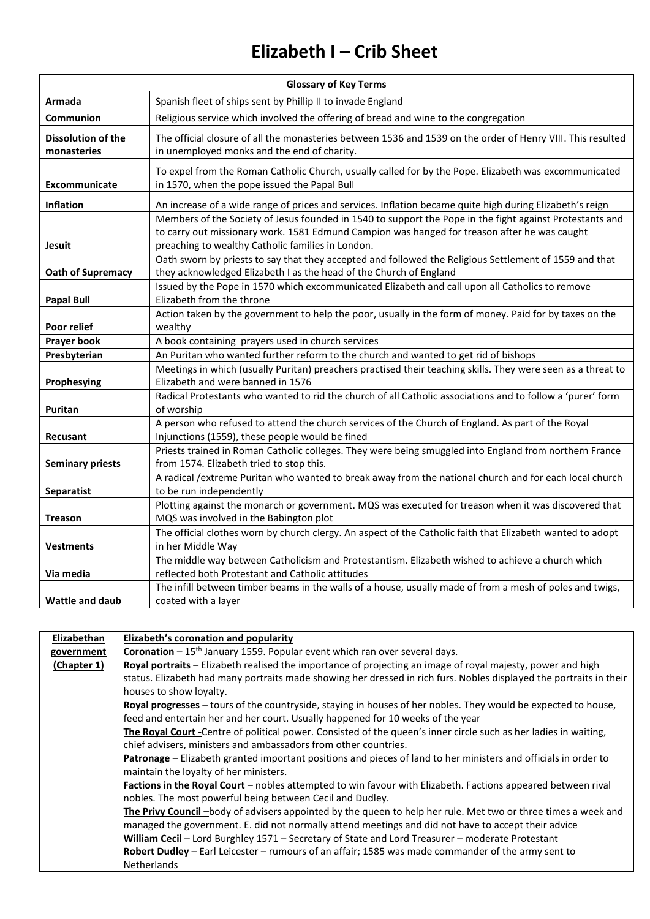## **Elizabeth I – Crib Sheet**

| <b>Glossary of Key Terms</b>             |                                                                                                                                                                                                                                                               |  |
|------------------------------------------|---------------------------------------------------------------------------------------------------------------------------------------------------------------------------------------------------------------------------------------------------------------|--|
| Armada                                   | Spanish fleet of ships sent by Phillip II to invade England                                                                                                                                                                                                   |  |
| Communion                                | Religious service which involved the offering of bread and wine to the congregation                                                                                                                                                                           |  |
| <b>Dissolution of the</b><br>monasteries | The official closure of all the monasteries between 1536 and 1539 on the order of Henry VIII. This resulted<br>in unemployed monks and the end of charity.                                                                                                    |  |
| Excommunicate                            | To expel from the Roman Catholic Church, usually called for by the Pope. Elizabeth was excommunicated<br>in 1570, when the pope issued the Papal Bull                                                                                                         |  |
| <b>Inflation</b>                         | An increase of a wide range of prices and services. Inflation became quite high during Elizabeth's reign                                                                                                                                                      |  |
| Jesuit                                   | Members of the Society of Jesus founded in 1540 to support the Pope in the fight against Protestants and<br>to carry out missionary work. 1581 Edmund Campion was hanged for treason after he was caught<br>preaching to wealthy Catholic families in London. |  |
| Oath of Supremacy                        | Oath sworn by priests to say that they accepted and followed the Religious Settlement of 1559 and that<br>they acknowledged Elizabeth I as the head of the Church of England                                                                                  |  |
| <b>Papal Bull</b>                        | Issued by the Pope in 1570 which excommunicated Elizabeth and call upon all Catholics to remove<br>Elizabeth from the throne                                                                                                                                  |  |
|                                          | Action taken by the government to help the poor, usually in the form of money. Paid for by taxes on the                                                                                                                                                       |  |
| Poor relief<br><b>Prayer book</b>        | wealthy<br>A book containing prayers used in church services                                                                                                                                                                                                  |  |
| Presbyterian                             | An Puritan who wanted further reform to the church and wanted to get rid of bishops                                                                                                                                                                           |  |
|                                          | Meetings in which (usually Puritan) preachers practised their teaching skills. They were seen as a threat to                                                                                                                                                  |  |
| Prophesying                              | Elizabeth and were banned in 1576                                                                                                                                                                                                                             |  |
| Puritan                                  | Radical Protestants who wanted to rid the church of all Catholic associations and to follow a 'purer' form<br>of worship                                                                                                                                      |  |
| <b>Recusant</b>                          | A person who refused to attend the church services of the Church of England. As part of the Royal<br>Injunctions (1559), these people would be fined                                                                                                          |  |
| <b>Seminary priests</b>                  | Priests trained in Roman Catholic colleges. They were being smuggled into England from northern France<br>from 1574. Elizabeth tried to stop this.                                                                                                            |  |
|                                          | A radical /extreme Puritan who wanted to break away from the national church and for each local church                                                                                                                                                        |  |
| <b>Separatist</b>                        | to be run independently                                                                                                                                                                                                                                       |  |
| Treason                                  | Plotting against the monarch or government. MQS was executed for treason when it was discovered that<br>MQS was involved in the Babington plot                                                                                                                |  |
| <b>Vestments</b>                         | The official clothes worn by church clergy. An aspect of the Catholic faith that Elizabeth wanted to adopt<br>in her Middle Way                                                                                                                               |  |
| Via media                                | The middle way between Catholicism and Protestantism. Elizabeth wished to achieve a church which<br>reflected both Protestant and Catholic attitudes                                                                                                          |  |
|                                          | The infill between timber beams in the walls of a house, usually made of from a mesh of poles and twigs,                                                                                                                                                      |  |
| <b>Wattle and daub</b>                   | coated with a layer                                                                                                                                                                                                                                           |  |

| <b>Elizabethan</b> | <b>Elizabeth's coronation and popularity</b>                                                                        |
|--------------------|---------------------------------------------------------------------------------------------------------------------|
| government         | <b>Coronation</b> $-15$ <sup>th</sup> January 1559. Popular event which ran over several days.                      |
| (Chapter 1)        | Royal portraits - Elizabeth realised the importance of projecting an image of royal majesty, power and high         |
|                    | status. Elizabeth had many portraits made showing her dressed in rich furs. Nobles displayed the portraits in their |
|                    | houses to show loyalty.                                                                                             |
|                    | Royal progresses - tours of the countryside, staying in houses of her nobles. They would be expected to house,      |
|                    | feed and entertain her and her court. Usually happened for 10 weeks of the year                                     |
|                    | The Royal Court -Centre of political power. Consisted of the queen's inner circle such as her ladies in waiting,    |
|                    | chief advisers, ministers and ambassadors from other countries.                                                     |
|                    | Patronage – Elizabeth granted important positions and pieces of land to her ministers and officials in order to     |
|                    | maintain the loyalty of her ministers.                                                                              |
|                    | Factions in the Royal Court - nobles attempted to win favour with Elizabeth. Factions appeared between rival        |
|                    | nobles. The most powerful being between Cecil and Dudley.                                                           |
|                    | The Privy Council -body of advisers appointed by the queen to help her rule. Met two or three times a week and      |
|                    | managed the government. E. did not normally attend meetings and did not have to accept their advice                 |
|                    | William Cecil - Lord Burghley 1571 - Secretary of State and Lord Treasurer - moderate Protestant                    |
|                    | Robert Dudley - Earl Leicester - rumours of an affair; 1585 was made commander of the army sent to                  |
|                    | <b>Netherlands</b>                                                                                                  |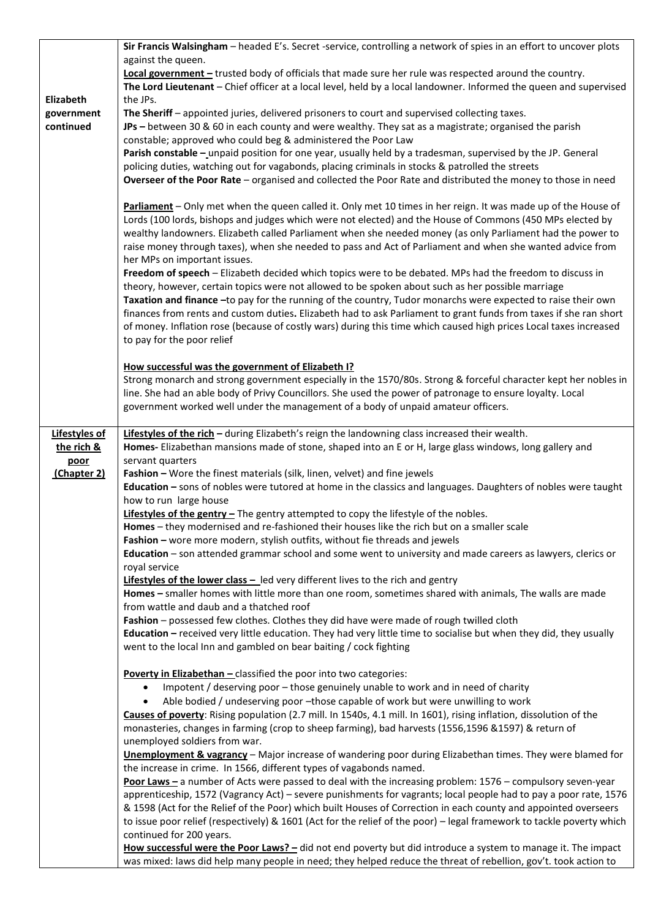|                         | Sir Francis Walsingham - headed E's. Secret -service, controlling a network of spies in an effort to uncover plots                                                                                                  |
|-------------------------|---------------------------------------------------------------------------------------------------------------------------------------------------------------------------------------------------------------------|
|                         | against the queen.                                                                                                                                                                                                  |
|                         | Local government - trusted body of officials that made sure her rule was respected around the country.                                                                                                              |
|                         | The Lord Lieutenant - Chief officer at a local level, held by a local landowner. Informed the queen and supervised                                                                                                  |
| Elizabeth               | the JPs.                                                                                                                                                                                                            |
| government<br>continued | The Sheriff - appointed juries, delivered prisoners to court and supervised collecting taxes.                                                                                                                       |
|                         | JPs - between 30 & 60 in each county and were wealthy. They sat as a magistrate; organised the parish<br>constable; approved who could beg & administered the Poor Law                                              |
|                         | Parish constable - unpaid position for one year, usually held by a tradesman, supervised by the JP. General                                                                                                         |
|                         | policing duties, watching out for vagabonds, placing criminals in stocks & patrolled the streets                                                                                                                    |
|                         | Overseer of the Poor Rate - organised and collected the Poor Rate and distributed the money to those in need                                                                                                        |
|                         |                                                                                                                                                                                                                     |
|                         | Parliament - Only met when the queen called it. Only met 10 times in her reign. It was made up of the House of                                                                                                      |
|                         | Lords (100 lords, bishops and judges which were not elected) and the House of Commons (450 MPs elected by                                                                                                           |
|                         | wealthy landowners. Elizabeth called Parliament when she needed money (as only Parliament had the power to                                                                                                          |
|                         | raise money through taxes), when she needed to pass and Act of Parliament and when she wanted advice from                                                                                                           |
|                         | her MPs on important issues.                                                                                                                                                                                        |
|                         | Freedom of speech - Elizabeth decided which topics were to be debated. MPs had the freedom to discuss in                                                                                                            |
|                         | theory, however, certain topics were not allowed to be spoken about such as her possible marriage                                                                                                                   |
|                         | Taxation and finance -to pay for the running of the country, Tudor monarchs were expected to raise their own                                                                                                        |
|                         | finances from rents and custom duties. Elizabeth had to ask Parliament to grant funds from taxes if she ran short                                                                                                   |
|                         | of money. Inflation rose (because of costly wars) during this time which caused high prices Local taxes increased                                                                                                   |
|                         | to pay for the poor relief                                                                                                                                                                                          |
|                         | How successful was the government of Elizabeth I?                                                                                                                                                                   |
|                         | Strong monarch and strong government especially in the 1570/80s. Strong & forceful character kept her nobles in                                                                                                     |
|                         | line. She had an able body of Privy Councillors. She used the power of patronage to ensure loyalty. Local                                                                                                           |
|                         | government worked well under the management of a body of unpaid amateur officers.                                                                                                                                   |
|                         |                                                                                                                                                                                                                     |
| Lifestyles of           | Lifestyles of the rich - during Elizabeth's reign the landowning class increased their wealth.                                                                                                                      |
| the rich &              | Homes- Elizabethan mansions made of stone, shaped into an E or H, large glass windows, long gallery and                                                                                                             |
| poor                    | servant quarters                                                                                                                                                                                                    |
| (Chapter 2)             | Fashion - Wore the finest materials (silk, linen, velvet) and fine jewels                                                                                                                                           |
|                         | Education - sons of nobles were tutored at home in the classics and languages. Daughters of nobles were taught                                                                                                      |
|                         | how to run large house<br>Lifestyles of the gentry - The gentry attempted to copy the lifestyle of the nobles.                                                                                                      |
|                         | Homes - they modernised and re-fashioned their houses like the rich but on a smaller scale                                                                                                                          |
|                         | Fashion - wore more modern, stylish outfits, without fie threads and jewels                                                                                                                                         |
|                         | Education - son attended grammar school and some went to university and made careers as lawyers, clerics or                                                                                                         |
|                         | royal service                                                                                                                                                                                                       |
|                         | Lifestyles of the lower class - led very different lives to the rich and gentry                                                                                                                                     |
|                         | Homes - smaller homes with little more than one room, sometimes shared with animals, The walls are made                                                                                                             |
|                         | from wattle and daub and a thatched roof                                                                                                                                                                            |
|                         | Fashion - possessed few clothes. Clothes they did have were made of rough twilled cloth                                                                                                                             |
|                         | Education - received very little education. They had very little time to socialise but when they did, they usually                                                                                                  |
|                         | went to the local Inn and gambled on bear baiting / cock fighting                                                                                                                                                   |
|                         |                                                                                                                                                                                                                     |
|                         | Poverty in Elizabethan - classified the poor into two categories:                                                                                                                                                   |
|                         | Impotent / deserving poor - those genuinely unable to work and in need of charity<br>$\bullet$                                                                                                                      |
|                         | Able bodied / undeserving poor -those capable of work but were unwilling to work<br>$\bullet$<br>Causes of poverty: Rising population (2.7 mill. In 1540s, 4.1 mill. In 1601), rising inflation, dissolution of the |
|                         | monasteries, changes in farming (crop to sheep farming), bad harvests (1556,1596 &1597) & return of                                                                                                                 |
|                         | unemployed soldiers from war.                                                                                                                                                                                       |
|                         | <b>Unemployment &amp; vagrancy</b> - Major increase of wandering poor during Elizabethan times. They were blamed for                                                                                                |
|                         | the increase in crime. In 1566, different types of vagabonds named.                                                                                                                                                 |
|                         | Poor Laws - a number of Acts were passed to deal with the increasing problem: 1576 - compulsory seven-year                                                                                                          |
|                         | apprenticeship, 1572 (Vagrancy Act) - severe punishments for vagrants; local people had to pay a poor rate, 1576                                                                                                    |
|                         | & 1598 (Act for the Relief of the Poor) which built Houses of Correction in each county and appointed overseers                                                                                                     |
|                         | to issue poor relief (respectively) & 1601 (Act for the relief of the poor) - legal framework to tackle poverty which                                                                                               |
|                         | continued for 200 years.                                                                                                                                                                                            |
|                         | How successful were the Poor Laws? - did not end poverty but did introduce a system to manage it. The impact                                                                                                        |
|                         | was mixed: laws did help many people in need; they helped reduce the threat of rebellion, gov't. took action to                                                                                                     |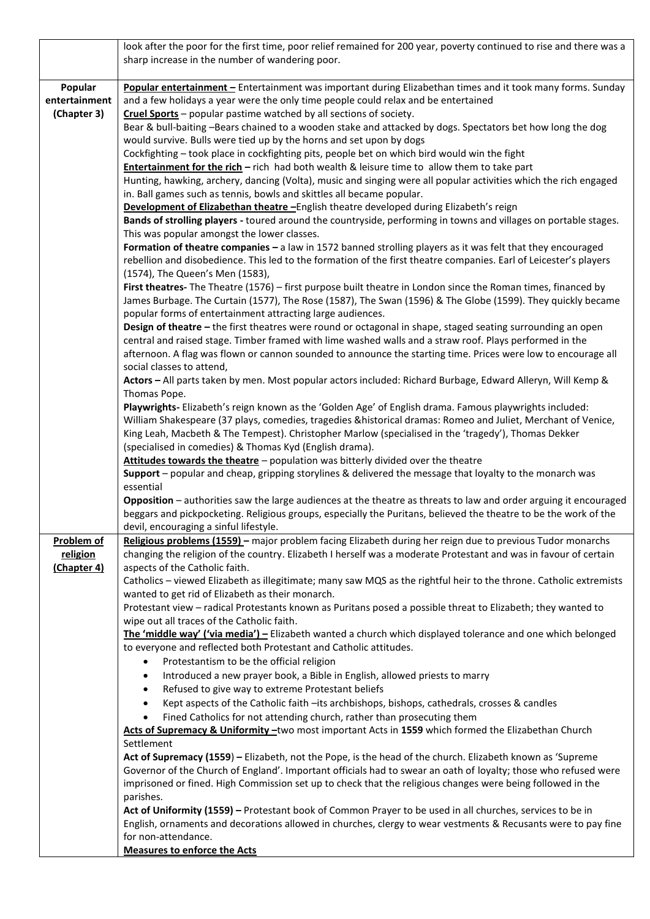|                   | look after the poor for the first time, poor relief remained for 200 year, poverty continued to rise and there was a                                                                                                |
|-------------------|---------------------------------------------------------------------------------------------------------------------------------------------------------------------------------------------------------------------|
|                   | sharp increase in the number of wandering poor.                                                                                                                                                                     |
| Popular           | Popular entertainment - Entertainment was important during Elizabethan times and it took many forms. Sunday                                                                                                         |
| entertainment     | and a few holidays a year were the only time people could relax and be entertained                                                                                                                                  |
| (Chapter 3)       | Cruel Sports - popular pastime watched by all sections of society.                                                                                                                                                  |
|                   | Bear & bull-baiting -Bears chained to a wooden stake and attacked by dogs. Spectators bet how long the dog                                                                                                          |
|                   | would survive. Bulls were tied up by the horns and set upon by dogs                                                                                                                                                 |
|                   | Cockfighting - took place in cockfighting pits, people bet on which bird would win the fight                                                                                                                        |
|                   | <b>Entertainment for the rich</b> - rich had both wealth & leisure time to allow them to take part                                                                                                                  |
|                   | Hunting, hawking, archery, dancing (Volta), music and singing were all popular activities which the rich engaged<br>in. Ball games such as tennis, bowls and skittles all became popular.                           |
|                   | Development of Elizabethan theatre - English theatre developed during Elizabeth's reign                                                                                                                             |
|                   | Bands of strolling players - toured around the countryside, performing in towns and villages on portable stages.                                                                                                    |
|                   | This was popular amongst the lower classes.                                                                                                                                                                         |
|                   | Formation of theatre companies - a law in 1572 banned strolling players as it was felt that they encouraged                                                                                                         |
|                   | rebellion and disobedience. This led to the formation of the first theatre companies. Earl of Leicester's players                                                                                                   |
|                   | (1574), The Queen's Men (1583),                                                                                                                                                                                     |
|                   | First theatres-The Theatre (1576) - first purpose built theatre in London since the Roman times, financed by                                                                                                        |
|                   | James Burbage. The Curtain (1577), The Rose (1587), The Swan (1596) & The Globe (1599). They quickly became<br>popular forms of entertainment attracting large audiences.                                           |
|                   | Design of theatre - the first theatres were round or octagonal in shape, staged seating surrounding an open                                                                                                         |
|                   | central and raised stage. Timber framed with lime washed walls and a straw roof. Plays performed in the                                                                                                             |
|                   | afternoon. A flag was flown or cannon sounded to announce the starting time. Prices were low to encourage all                                                                                                       |
|                   | social classes to attend,                                                                                                                                                                                           |
|                   | Actors - All parts taken by men. Most popular actors included: Richard Burbage, Edward Alleryn, Will Kemp &                                                                                                         |
|                   | Thomas Pope.                                                                                                                                                                                                        |
|                   | Playwrights- Elizabeth's reign known as the 'Golden Age' of English drama. Famous playwrights included:                                                                                                             |
|                   | William Shakespeare (37 plays, comedies, tragedies &historical dramas: Romeo and Juliet, Merchant of Venice,<br>King Leah, Macbeth & The Tempest). Christopher Marlow (specialised in the 'tragedy'), Thomas Dekker |
|                   | (specialised in comedies) & Thomas Kyd (English drama).                                                                                                                                                             |
|                   | Attitudes towards the theatre - population was bitterly divided over the theatre                                                                                                                                    |
|                   | Support - popular and cheap, gripping storylines & delivered the message that loyalty to the monarch was                                                                                                            |
|                   | essential                                                                                                                                                                                                           |
|                   | Opposition - authorities saw the large audiences at the theatre as threats to law and order arguing it encouraged                                                                                                   |
|                   | beggars and pickpocketing. Religious groups, especially the Puritans, believed the theatre to be the work of the<br>devil, encouraging a sinful lifestyle.                                                          |
| <b>Problem of</b> | Religious problems (1559) - major problem facing Elizabeth during her reign due to previous Tudor monarchs                                                                                                          |
| religion          | changing the religion of the country. Elizabeth I herself was a moderate Protestant and was in favour of certain                                                                                                    |
| (Chapter 4)       | aspects of the Catholic faith.                                                                                                                                                                                      |
|                   | Catholics - viewed Elizabeth as illegitimate; many saw MQS as the rightful heir to the throne. Catholic extremists                                                                                                  |
|                   | wanted to get rid of Elizabeth as their monarch.                                                                                                                                                                    |
|                   | Protestant view - radical Protestants known as Puritans posed a possible threat to Elizabeth; they wanted to                                                                                                        |
|                   | wipe out all traces of the Catholic faith.<br>The 'middle way' ('via media') - Elizabeth wanted a church which displayed tolerance and one which belonged                                                           |
|                   | to everyone and reflected both Protestant and Catholic attitudes.                                                                                                                                                   |
|                   | Protestantism to be the official religion<br>$\bullet$                                                                                                                                                              |
|                   | Introduced a new prayer book, a Bible in English, allowed priests to marry<br>$\bullet$                                                                                                                             |
|                   | Refused to give way to extreme Protestant beliefs<br>$\bullet$                                                                                                                                                      |
|                   | Kept aspects of the Catholic faith -its archbishops, bishops, cathedrals, crosses & candles<br>$\bullet$                                                                                                            |
|                   | Fined Catholics for not attending church, rather than prosecuting them<br>$\bullet$                                                                                                                                 |
|                   | Acts of Supremacy & Uniformity -two most important Acts in 1559 which formed the Elizabethan Church                                                                                                                 |
|                   | Settlement<br>Act of Supremacy (1559) - Elizabeth, not the Pope, is the head of the church. Elizabeth known as 'Supreme                                                                                             |
|                   | Governor of the Church of England'. Important officials had to swear an oath of loyalty; those who refused were                                                                                                     |
|                   | imprisoned or fined. High Commission set up to check that the religious changes were being followed in the                                                                                                          |
|                   | parishes.                                                                                                                                                                                                           |
|                   | Act of Uniformity (1559) - Protestant book of Common Prayer to be used in all churches, services to be in                                                                                                           |
|                   | English, ornaments and decorations allowed in churches, clergy to wear vestments & Recusants were to pay fine                                                                                                       |
|                   | for non-attendance.                                                                                                                                                                                                 |
|                   | <b>Measures to enforce the Acts</b>                                                                                                                                                                                 |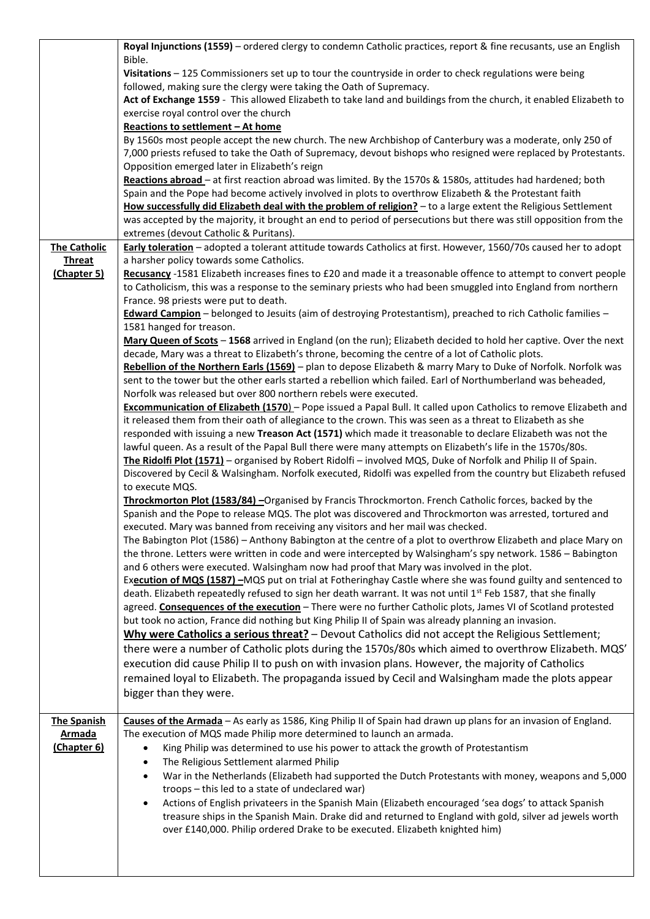|                     | Royal Injunctions (1559) - ordered clergy to condemn Catholic practices, report & fine recusants, use an English  |
|---------------------|-------------------------------------------------------------------------------------------------------------------|
|                     | Bible.                                                                                                            |
|                     | Visitations - 125 Commissioners set up to tour the countryside in order to check regulations were being           |
|                     | followed, making sure the clergy were taking the Oath of Supremacy.                                               |
|                     | Act of Exchange 1559 - This allowed Elizabeth to take land and buildings from the church, it enabled Elizabeth to |
|                     | exercise royal control over the church                                                                            |
|                     | Reactions to settlement - At home                                                                                 |
|                     | By 1560s most people accept the new church. The new Archbishop of Canterbury was a moderate, only 250 of          |
|                     | 7,000 priests refused to take the Oath of Supremacy, devout bishops who resigned were replaced by Protestants.    |
|                     | Opposition emerged later in Elizabeth's reign                                                                     |
|                     | Reactions abroad - at first reaction abroad was limited. By the 1570s & 1580s, attitudes had hardened; both       |
|                     | Spain and the Pope had become actively involved in plots to overthrow Elizabeth & the Protestant faith            |
|                     | How successfully did Elizabeth deal with the problem of religion? - to a large extent the Religious Settlement    |
|                     | was accepted by the majority, it brought an end to period of persecutions but there was still opposition from the |
|                     | extremes (devout Catholic & Puritans).                                                                            |
| <b>The Catholic</b> | Early toleration - adopted a tolerant attitude towards Catholics at first. However, 1560/70s caused her to adopt  |
| <b>Threat</b>       | a harsher policy towards some Catholics.                                                                          |
| (Chapter 5)         | Recusancy -1581 Elizabeth increases fines to £20 and made it a treasonable offence to attempt to convert people   |
|                     | to Catholicism, this was a response to the seminary priests who had been smuggled into England from northern      |
|                     | France. 98 priests were put to death.                                                                             |
|                     | Edward Campion - belonged to Jesuits (aim of destroying Protestantism), preached to rich Catholic families -      |
|                     | 1581 hanged for treason.                                                                                          |
|                     | Mary Queen of Scots - 1568 arrived in England (on the run); Elizabeth decided to hold her captive. Over the next  |
|                     | decade, Mary was a threat to Elizabeth's throne, becoming the centre of a lot of Catholic plots.                  |
|                     | Rebellion of the Northern Earls (1569) - plan to depose Elizabeth & marry Mary to Duke of Norfolk. Norfolk was    |
|                     | sent to the tower but the other earls started a rebellion which failed. Earl of Northumberland was beheaded,      |
|                     | Norfolk was released but over 800 northern rebels were executed.                                                  |
|                     | Excommunication of Elizabeth (1570) - Pope issued a Papal Bull. It called upon Catholics to remove Elizabeth and  |
|                     | it released them from their oath of allegiance to the crown. This was seen as a threat to Elizabeth as she        |
|                     | responded with issuing a new Treason Act (1571) which made it treasonable to declare Elizabeth was not the        |
|                     | lawful queen. As a result of the Papal Bull there were many attempts on Elizabeth's life in the 1570s/80s.        |
|                     | The Ridolfi Plot (1571) - organised by Robert Ridolfi - involved MQS, Duke of Norfolk and Philip II of Spain.     |
|                     | Discovered by Cecil & Walsingham. Norfolk executed, Ridolfi was expelled from the country but Elizabeth refused   |
|                     | to execute MQS.                                                                                                   |
|                     | Throckmorton Plot (1583/84) - Organised by Francis Throckmorton. French Catholic forces, backed by the            |
|                     | Spanish and the Pope to release MQS. The plot was discovered and Throckmorton was arrested, tortured and          |
|                     | executed. Mary was banned from receiving any visitors and her mail was checked.                                   |
|                     | The Babington Plot (1586) - Anthony Babington at the centre of a plot to overthrow Elizabeth and place Mary on    |
|                     | the throne. Letters were written in code and were intercepted by Walsingham's spy network. 1586 - Babington       |
|                     | and 6 others were executed. Walsingham now had proof that Mary was involved in the plot.                          |
|                     | Execution of MQS (1587) - MQS put on trial at Fotheringhay Castle where she was found guilty and sentenced to     |
|                     | death. Elizabeth repeatedly refused to sign her death warrant. It was not until 1st Feb 1587, that she finally    |
|                     | agreed. Consequences of the execution - There were no further Catholic plots, James VI of Scotland protested      |
|                     | but took no action, France did nothing but King Philip II of Spain was already planning an invasion.              |
|                     | Why were Catholics a serious threat? - Devout Catholics did not accept the Religious Settlement;                  |
|                     | there were a number of Catholic plots during the 1570s/80s which aimed to overthrow Elizabeth. MQS'               |
|                     | execution did cause Philip II to push on with invasion plans. However, the majority of Catholics                  |
|                     | remained loyal to Elizabeth. The propaganda issued by Cecil and Walsingham made the plots appear                  |
|                     | bigger than they were.                                                                                            |
|                     |                                                                                                                   |
| <b>The Spanish</b>  | Causes of the Armada - As early as 1586, King Philip II of Spain had drawn up plans for an invasion of England.   |
| <b>Armada</b>       | The execution of MQS made Philip more determined to launch an armada.                                             |
| <u>(Chapter 6)</u>  | King Philip was determined to use his power to attack the growth of Protestantism<br>$\bullet$                    |
|                     | The Religious Settlement alarmed Philip<br>$\bullet$                                                              |
|                     | War in the Netherlands (Elizabeth had supported the Dutch Protestants with money, weapons and 5,000<br>$\bullet$  |
|                     | troops - this led to a state of undeclared war)                                                                   |
|                     | Actions of English privateers in the Spanish Main (Elizabeth encouraged 'sea dogs' to attack Spanish<br>$\bullet$ |
|                     | treasure ships in the Spanish Main. Drake did and returned to England with gold, silver ad jewels worth           |
|                     | over £140,000. Philip ordered Drake to be executed. Elizabeth knighted him)                                       |
|                     |                                                                                                                   |
|                     |                                                                                                                   |